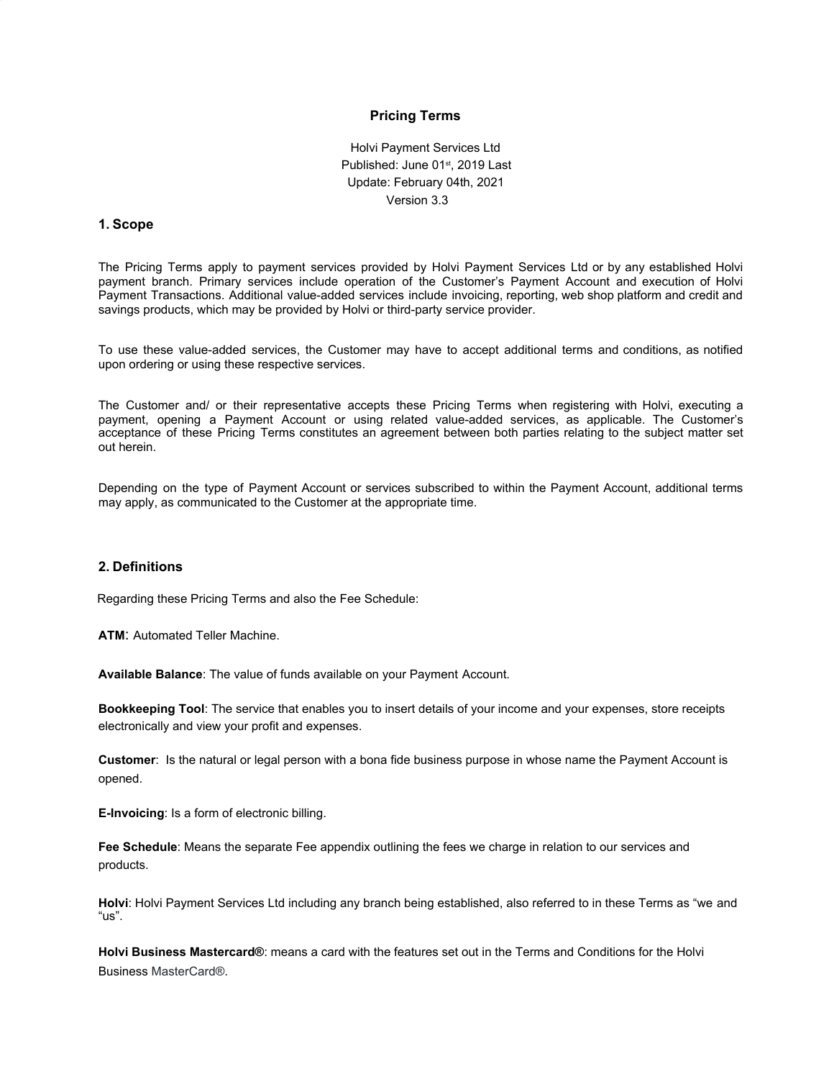## **Pricing Terms**

Holvi Payment Services Ltd Published: June 01<sup>st</sup>, 2019 Last Update: February 04th, 2021 Version 3.3

### **1. Scope**

The Pricing Terms apply to payment services provided by Holvi Payment Services Ltd or by any established Holvi payment branch. Primary services include operation of the Customer's Payment Account and execution of Holvi Payment Transactions. Additional value-added services include invoicing, reporting, web shop platform and credit and savings products, which may be provided by Holvi or third-party service provider.

To use these value-added services, the Customer may have to accept additional terms and conditions, as notified upon ordering or using these respective services.

The Customer and/ or their representative accepts these Pricing Terms when registering with Holvi, executing a payment, opening a Payment Account or using related value-added services, as applicable. The Customer's acceptance of these Pricing Terms constitutes an agreement between both parties relating to the subject matter set out herein.

Depending on the type of Payment Account or services subscribed to within the Payment Account, additional terms may apply, as communicated to the Customer at the appropriate time.

#### **2. Definitions**

Regarding these Pricing Terms and also the Fee Schedule:

**ATM**: Automated Teller Machine.

**Available Balance**: The value of funds available on your Payment Account.

**Bookkeeping Tool**: The service that enables you to insert details of your income and your expenses, store receipts electronically and view your profit and expenses.

**Customer**: Is the natural or legal person with a bona fide business purpose in whose name the Payment Account is opened.

**E-Invoicing**: Is a form of electronic billing.

**Fee Schedule**: Means the separate Fee appendix outlining the fees we charge in relation to our services and products.

**Holvi**: Holvi Payment Services Ltd including any branch being established, also referred to in these Terms as "we and "us".

**Holvi Business Mastercard®**: means a card with the features set out in the Terms and Conditions for the Holvi Business MasterCard®.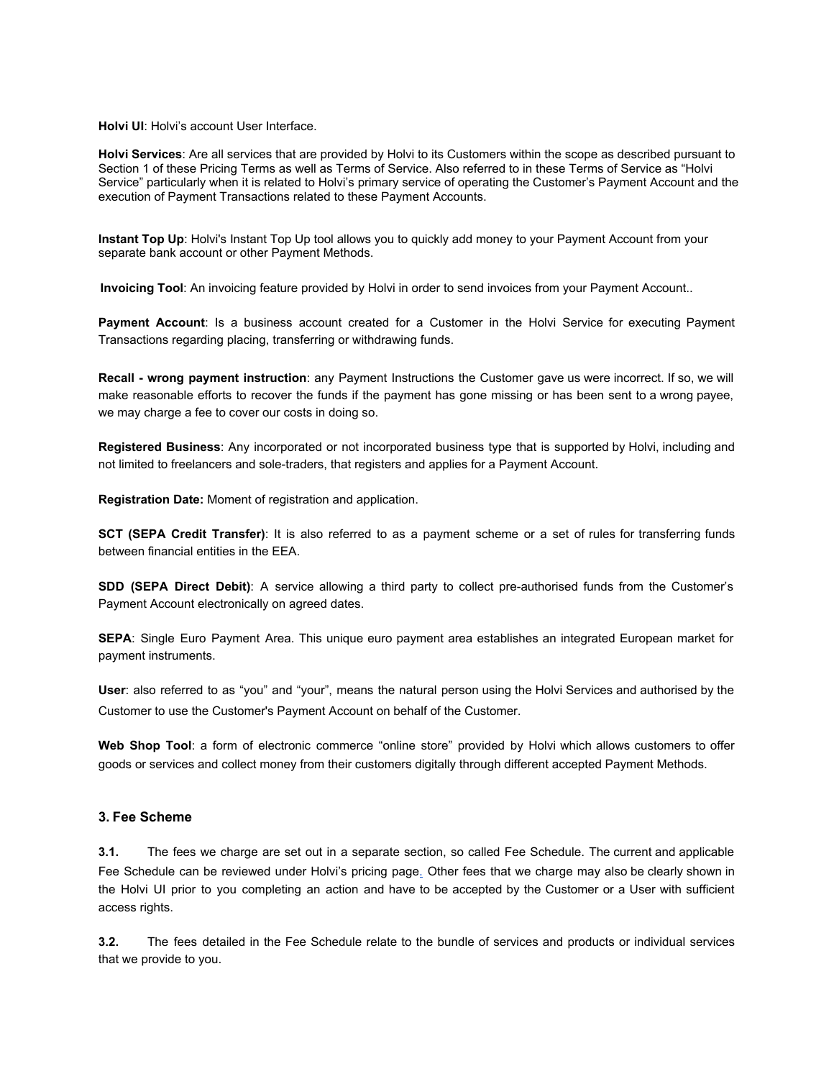**Holvi UI**: Holvi's account User Interface.

**Holvi Services**: Are all services that are provided by Holvi to its Customers within the scope as described pursuant to Section 1 of these Pricing Terms as well as Terms of Service. Also referred to in these Terms of Service as "Holvi Service" particularly when it is related to Holvi's primary service of operating the Customer's Payment Account and the execution of Payment Transactions related to these Payment Accounts.

**Instant Top Up**: Holvi's Instant Top Up tool allows you to quickly add money to your Payment Account from your separate bank account or other Payment Methods.

**Invoicing Tool**: An invoicing feature provided by Holvi in order to send invoices from your Payment Account..

**Payment Account**: Is a business account created for a Customer in the Holvi Service for executing Payment Transactions regarding placing, transferring or withdrawing funds.

**Recall - wrong payment instruction**: any Payment Instructions the Customer gave us were incorrect. If so, we will make reasonable efforts to recover the funds if the payment has gone missing or has been sent to a wrong payee, we may charge a fee to cover our costs in doing so.

**Registered Business**: Any incorporated or not incorporated business type that is supported by Holvi, including and not limited to freelancers and sole-traders, that registers and applies for a Payment Account.

**Registration Date:** Moment of registration and application.

**SCT (SEPA Credit Transfer)**: It is also referred to as a payment scheme or a set of rules for transferring funds between financial entities in the EEA.

**SDD (SEPA Direct Debit)**: A service allowing a third party to collect pre-authorised funds from the Customer's Payment Account electronically on agreed dates.

**SEPA**: Single Euro Payment Area. This unique euro payment area establishes an integrated European market for payment instruments.

**User**: also referred to as "you" and "your", means the natural person using the Holvi Services and authorised by the Customer to use the Customer's Payment Account on behalf of the Customer.

**Web Shop Tool**: a form of electronic commerce "online store" provided by Holvi which allows customers to offer goods or services and collect money from their customers digitally through different accepted Payment Methods.

### **3. Fee Scheme**

**3.1.** The fees we charge are set out in a separate section, so called Fee Schedule. The current and applicable Fee Schedule can be reviewed under Holvi's pricing page. Other fees that we charge may also be clearly shown in the Holvi UI prior to you completing an action and have to be accepted by the Customer or a User with sufficient access rights.

**3.2.** The fees detailed in the Fee Schedule relate to the bundle of services and products or individual services that we provide to you.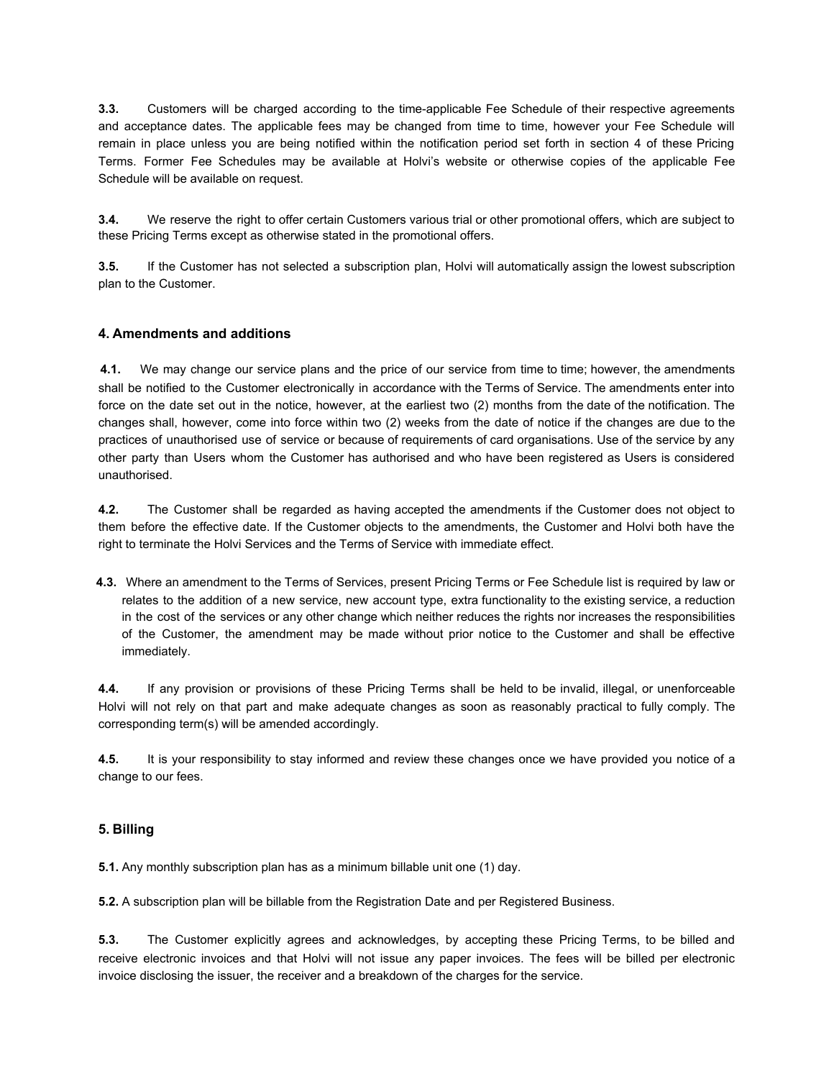**3.3.** Customers will be charged according to the time-applicable Fee Schedule of their respective agreements and acceptance dates. The applicable fees may be changed from time to time, however your Fee Schedule will remain in place unless you are being notified within the notification period set forth in section 4 of these Pricing Terms. Former Fee Schedules may be available at Holvi's website or otherwise copies of the applicable Fee Schedule will be available on request.

**3.4.** We reserve the right to offer certain Customers various trial or other promotional offers, which are subject to these Pricing Terms except as otherwise stated in the promotional offers.

**3.5.** If the Customer has not selected a subscription plan, Holvi will automatically assign the lowest subscription plan to the Customer.

## **4. Amendments and additions**

**4.1.** We may change our service plans and the price of our service from time to time; however, the amendments shall be notified to the Customer electronically in accordance with the Terms of Service. The amendments enter into force on the date set out in the notice, however, at the earliest two (2) months from the date of the notification. The changes shall, however, come into force within two (2) weeks from the date of notice if the changes are due to the practices of unauthorised use of service or because of requirements of card organisations. Use of the service by any other party than Users whom the Customer has authorised and who have been registered as Users is considered unauthorised.

**4.2.** The Customer shall be regarded as having accepted the amendments if the Customer does not object to them before the effective date. If the Customer objects to the amendments, the Customer and Holvi both have the right to terminate the Holvi Services and the Terms of Service with immediate effect.

**4.3.** Where an amendment to the Terms of Services, present Pricing Terms or Fee Schedule list is required by law or relates to the addition of a new service, new account type, extra functionality to the existing service, a reduction in the cost of the services or any other change which neither reduces the rights nor increases the responsibilities of the Customer, the amendment may be made without prior notice to the Customer and shall be effective immediately.

**4.4.** If any provision or provisions of these Pricing Terms shall be held to be invalid, illegal, or unenforceable Holvi will not rely on that part and make adequate changes as soon as reasonably practical to fully comply. The corresponding term(s) will be amended accordingly.

**4.5.** It is your responsibility to stay informed and review these changes once we have provided you notice of a change to our fees.

## **5. Billing**

**5.1.** Any monthly subscription plan has as a minimum billable unit one (1) day.

**5.2.** A subscription plan will be billable from the Registration Date and per Registered Business.

**5.3.** The Customer explicitly agrees and acknowledges, by accepting these Pricing Terms, to be billed and receive electronic invoices and that Holvi will not issue any paper invoices. The fees will be billed per electronic invoice disclosing the issuer, the receiver and a breakdown of the charges for the service.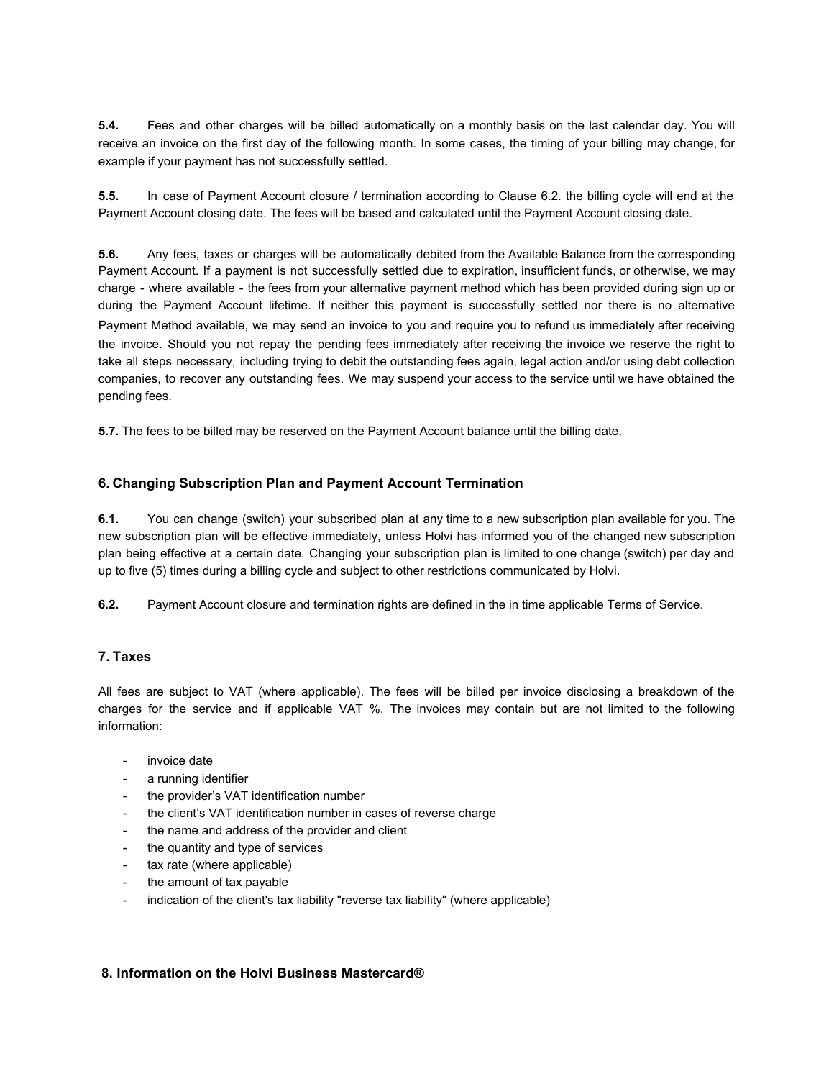**5.4.** Fees and other charges will be billed automatically on a monthly basis on the last calendar day. You will receive an invoice on the first day of the following month. In some cases, the timing of your billing may change, for example if your payment has not successfully settled.

**5.5.** In case of Payment Account closure / termination according to Clause 6.2. the billing cycle will end at the Payment Account closing date. The fees will be based and calculated until the Payment Account closing date.

**5.6.** Any fees, taxes or charges will be automatically debited from the Available Balance from the corresponding Payment Account. If a payment is not successfully settled due to expiration, insufficient funds, or otherwise, we may charge - where available - the fees from your alternative payment method which has been provided during sign up or during the Payment Account lifetime. If neither this payment is successfully settled nor there is no alternative Payment Method available, we may send an invoice to you and require you to refund us immediately after receiving the invoice. Should you not repay the pending fees immediately after receiving the invoice we reserve the right to take all steps necessary, including trying to debit the outstanding fees again, legal action and/or using debt collection companies, to recover any outstanding fees. We may suspend your access to the service until we have obtained the pending fees.

**5.7.** The fees to be billed may be reserved on the Payment Account balance until the billing date.

# **6. Changing Subscription Plan and Payment Account Termination**

**6.1.** You can change (switch) your subscribed plan at any time to a new subscription plan available for you. The new subscription plan will be effective immediately, unless Holvi has informed you of the changed new subscription plan being effective at a certain date. Changing your subscription plan is limited to one change (switch) per day and up to five (5) times during a billing cycle and subject to other restrictions communicated by Holvi.

**6.2.** Payment Account closure and termination rights are defined in the in time applicable Terms of Service.

# **7. Taxes**

All fees are subject to VAT (where applicable). The fees will be billed per invoice disclosing a breakdown of the charges for the service and if applicable VAT %. The invoices may contain but are not limited to the following information:

- invoice date
- a running identifier
- the provider's VAT identification number
- the client's VAT identification number in cases of reverse charge
- the name and address of the provider and client
- the quantity and type of services
- tax rate (where applicable)
- the amount of tax payable
- indication of the client's tax liability "reverse tax liability" (where applicable)

## **8. Information on the Holvi Business Mastercard®**